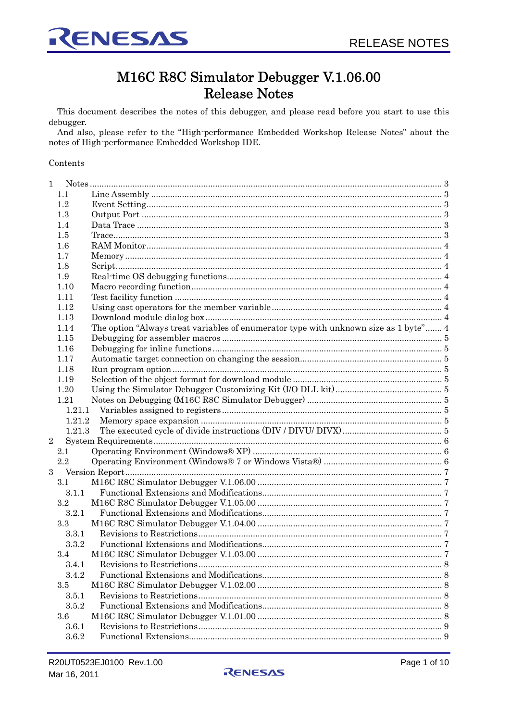

# M16C R8C Simulator Debugger V.1.06.00 **Release Notes**

This document describes the notes of this debugger, and please read before you start to use this debugger.

And also, please refer to the "High-performance Embedded Workshop Release Notes" about the notes of High-performance Embedded Workshop IDE.

#### Contents

| 1          |         |                                                                                      |  |
|------------|---------|--------------------------------------------------------------------------------------|--|
|            | 1.1     |                                                                                      |  |
|            | 1.2     |                                                                                      |  |
|            | 1.3     |                                                                                      |  |
|            | 1.4     |                                                                                      |  |
|            | 1.5     |                                                                                      |  |
|            | $1.6\,$ |                                                                                      |  |
|            | 1.7     |                                                                                      |  |
|            | 1.8     |                                                                                      |  |
|            | 1.9     |                                                                                      |  |
|            | 1.10    |                                                                                      |  |
|            | 1.11    |                                                                                      |  |
|            | 1.12    |                                                                                      |  |
|            | 1.13    |                                                                                      |  |
|            | 1.14    | The option "Always treat variables of enumerator type with unknown size as 1 byte" 4 |  |
|            | 1.15    |                                                                                      |  |
|            | 1.16    |                                                                                      |  |
|            | 1.17    |                                                                                      |  |
|            | 1.18    |                                                                                      |  |
|            | 1.19    |                                                                                      |  |
|            | 1.20    |                                                                                      |  |
|            | 1.21    |                                                                                      |  |
|            | 1.21.1  |                                                                                      |  |
|            | 1.21.2  |                                                                                      |  |
|            | 1.21.3  |                                                                                      |  |
| $\sqrt{2}$ |         |                                                                                      |  |
|            | 2.1     |                                                                                      |  |
|            | 2.2     |                                                                                      |  |
| 3          |         |                                                                                      |  |
|            | 3.1     |                                                                                      |  |
|            | 3.1.1   |                                                                                      |  |
|            | $3.2\,$ |                                                                                      |  |
|            | 3.2.1   |                                                                                      |  |
|            | 3.3     |                                                                                      |  |
|            | 3.3.1   |                                                                                      |  |
|            | 3.3.2   |                                                                                      |  |
|            | 3.4     |                                                                                      |  |
|            | 3.4.1   |                                                                                      |  |
|            | 3.4.2   |                                                                                      |  |
|            | $3.5\,$ |                                                                                      |  |
|            | 3.5.1   |                                                                                      |  |
|            | 3.5.2   |                                                                                      |  |
|            | 3.6     |                                                                                      |  |
|            | 3.6.1   |                                                                                      |  |
|            | 3.6.2   |                                                                                      |  |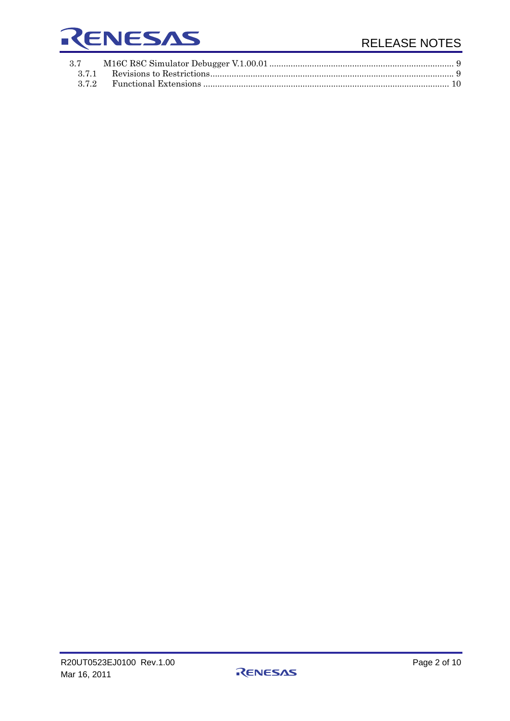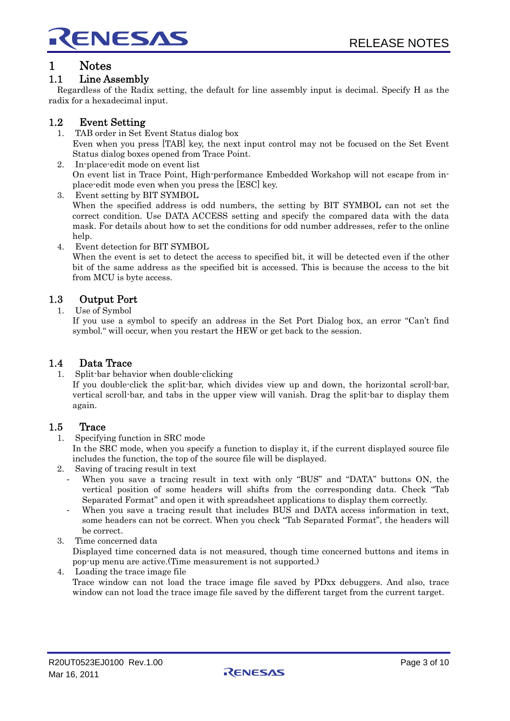<span id="page-2-0"></span>

# 1 Notes

# 1.1 Line Assembly

Regardless of the Radix setting, the default for line assembly input is decimal. Specify H as the radix for a hexadecimal input.

# 1.2 Event Setting

- 1. TAB order in Set Event Status dialog box Even when you press [TAB] key, the next input control may not be focused on the Set Event Status dialog boxes opened from Trace Point.
- 2. In-place-edit mode on event list On event list in Trace Point, High-performance Embedded Workshop will not escape from inplace-edit mode even when you press the [ESC] key.
- 3. Event setting by BIT SYMBOL When the specified address is odd numbers, the setting by BIT SYMBOL can not set the correct condition. Use DATA ACCESS setting and specify the compared data with the data mask. For details about how to set the conditions for odd number addresses, refer to the online help.
- 4. Event detection for BIT SYMBOL

When the event is set to detect the access to specified bit, it will be detected even if the other bit of the same address as the specified bit is accessed. This is because the access to the bit from MCU is byte access.

# 1.3 Output Port

1. Use of Symbol

If you use a symbol to specify an address in the Set Port Dialog box, an error "Can't find symbol." will occur, when you restart the HEW or get back to the session.

# 1.4 Data Trace

1. Split-bar behavior when double-clicking

If you double-click the split-bar, which divides view up and down, the horizontal scroll-bar, vertical scroll-bar, and tabs in the upper view will vanish. Drag the split-bar to display them again.

# 1.5 Trace

1. Specifying function in SRC mode

In the SRC mode, when you specify a function to display it, if the current displayed source file includes the function, the top of the source file will be displayed.

- 2. Saving of tracing result in text
	- When you save a tracing result in text with only "BUS" and "DATA" buttons ON, the vertical position of some headers will shifts from the corresponding data. Check "Tab Separated Format" and open it with spreadsheet applications to display them correctly.
	- When you save a tracing result that includes BUS and DATA access information in text, some headers can not be correct. When you check "Tab Separated Format", the headers will be correct.
- 3. Time concerned data

Displayed time concerned data is not measured, though time concerned buttons and items in pop-up menu are active.(Time measurement is not supported.)

Loading the trace image file Trace window can not load the trace image file saved by PDxx debuggers. And also, trace window can not load the trace image file saved by the different target from the current target.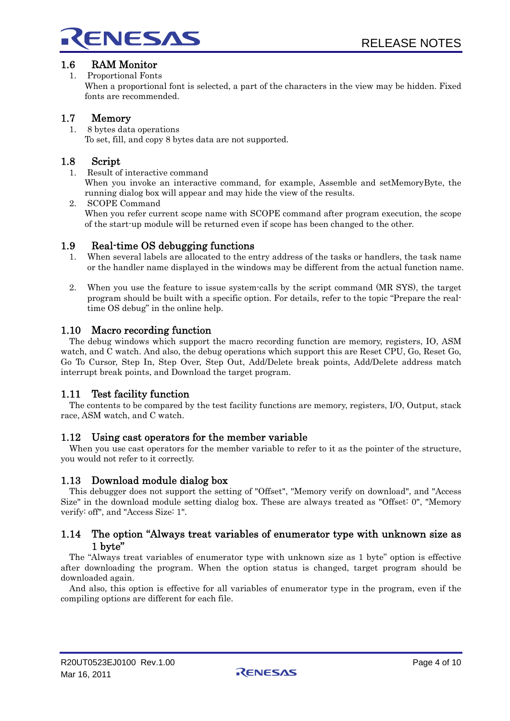

<span id="page-3-0"></span>

# 1.6 RAM Monitor

1. Proportional Fonts

When a proportional font is selected, a part of the characters in the view may be hidden. Fixed fonts are recommended.

# 1.7 Memory

1. 8 bytes data operations To set, fill, and copy 8 bytes data are not supported.

# 1.8 Script

1. Result of interactive command

When you invoke an interactive command, for example, Assemble and setMemoryByte, the running dialog box will appear and may hide the view of the results.

2. SCOPE Command When you refer current scope name with SCOPE command after program execution, the scope of the start-up module will be returned even if scope has been changed to the other.

# 1.9 Real-time OS debugging functions

- 1. When several labels are allocated to the entry address of the tasks or handlers, the task name or the handler name displayed in the windows may be different from the actual function name.
- 2. When you use the feature to issue system-calls by the script command (MR SYS), the target program should be built with a specific option. For details, refer to the topic "Prepare the realtime OS debug" in the online help.

# 1.10 Macro recording function

The debug windows which support the macro recording function are memory, registers, IO, ASM watch, and C watch. And also, the debug operations which support this are Reset CPU, Go, Reset Go, Go To Cursor, Step In, Step Over, Step Out, Add/Delete break points, Add/Delete address match interrupt break points, and Download the target program.

# 1.11 Test facility function

The contents to be compared by the test facility functions are memory, registers, I/O, Output, stack race, ASM watch, and C watch.

# 1.12 Using cast operators for the member variable

When you use cast operators for the member variable to refer to it as the pointer of the structure, you would not refer to it correctly.

# 1.13 Download module dialog box

This debugger does not support the setting of "Offset", "Memory verify on download", and "Access Size" in the download module setting dialog box. These are always treated as "Offset: 0", "Memory verify: off", and "Access Size: 1".

## 1.14 The option "Always treat variables of enumerator type with unknown size as 1 byte"

The "Always treat variables of enumerator type with unknown size as 1 byte" option is effective after downloading the program. When the option status is changed, target program should be downloaded again.

And also, this option is effective for all variables of enumerator type in the program, even if the compiling options are different for each file.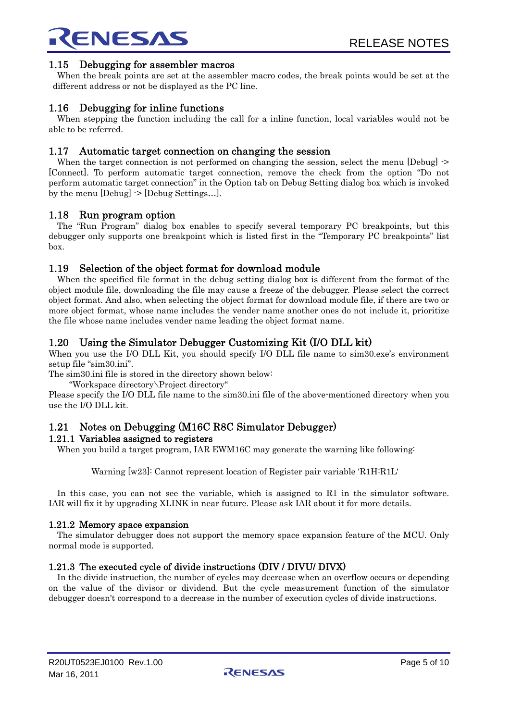<span id="page-4-0"></span>

## 1.15 Debugging for assembler macros

When the break points are set at the assembler macro codes, the break points would be set at the different address or not be displayed as the PC line.

## 1.16 Debugging for inline functions

When stepping the function including the call for a inline function, local variables would not be able to be referred.

#### 1.17 Automatic target connection on changing the session

When the target connection is not performed on changing the session, select the menu [Debug]  $\rightarrow$ [Connect]. To perform automatic target connection, remove the check from the option "Do not perform automatic target connection" in the Option tab on Debug Setting dialog box which is invoked by the menu [Debug] -> [Debug Settings…].

#### 1.18 Run program option

The "Run Program" dialog box enables to specify several temporary PC breakpoints, but this debugger only supports one breakpoint which is listed first in the "Temporary PC breakpoints" list box.

## 1.19 Selection of the object format for download module

When the specified file format in the debug setting dialog box is different from the format of the object module file, downloading the file may cause a freeze of the debugger. Please select the correct object format. And also, when selecting the object format for download module file, if there are two or more object format, whose name includes the vender name another ones do not include it, prioritize the file whose name includes vender name leading the object format name.

# 1.20 Using the Simulator Debugger Customizing Kit (I/O DLL kit)

When you use the I/O DLL Kit, you should specify I/O DLL file name to sim30.exe's environment setup file "sim30.ini".

The sim30.ini file is stored in the directory shown below:

"Workspace directory\Project directory"

Please specify the I/O DLL file name to the sim30.ini file of the above-mentioned directory when you use the I/O DLL kit.

# 1.21 Notes on Debugging (M16C R8C Simulator Debugger)

#### 1.21.1 Variables assigned to registers

When you build a target program, IAR EWM16C may generate the warning like following:

Warning [w23]: Cannot represent location of Register pair variable 'R1H:R1L'

In this case, you can not see the variable, which is assigned to R1 in the simulator software. IAR will fix it by upgrading XLINK in near future. Please ask IAR about it for more details.

#### 1.21.2 Memory space expansion

The simulator debugger does not support the memory space expansion feature of the MCU. Only normal mode is supported.

#### 1.21.3 The executed cycle of divide instructions (DIV / DIVU/ DIVX)

In the divide instruction, the number of cycles may decrease when an overflow occurs or depending on the value of the divisor or dividend. But the cycle measurement function of the simulator debugger doesn't correspond to a decrease in the number of execution cycles of divide instructions.

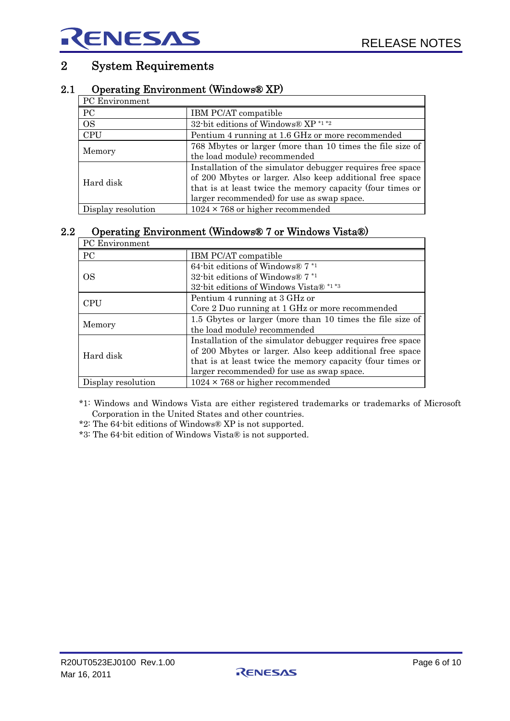# <span id="page-5-0"></span>2 System Requirements

# 2.1 Operating Environment (Windows® XP)

| PC Environment                                                                                                                                                                                                                    |  |  |  |  |
|-----------------------------------------------------------------------------------------------------------------------------------------------------------------------------------------------------------------------------------|--|--|--|--|
| IBM PC/AT compatible                                                                                                                                                                                                              |  |  |  |  |
| 32-bit editions of Windows® XP *1 *2                                                                                                                                                                                              |  |  |  |  |
| Pentium 4 running at 1.6 GHz or more recommended                                                                                                                                                                                  |  |  |  |  |
| 768 Mbytes or larger (more than 10 times the file size of<br>the load module) recommended                                                                                                                                         |  |  |  |  |
|                                                                                                                                                                                                                                   |  |  |  |  |
| Installation of the simulator debugger requires free space<br>of 200 Mbytes or larger. Also keep additional free space<br>that is at least twice the memory capacity (four times or<br>larger recommended) for use as swap space. |  |  |  |  |
| $1024 \times 768$ or higher recommended                                                                                                                                                                                           |  |  |  |  |
|                                                                                                                                                                                                                                   |  |  |  |  |

# 2.2 Operating Environment (Windows® 7 or Windows Vista®)

| PC Environment     |                                                                      |  |  |
|--------------------|----------------------------------------------------------------------|--|--|
| <b>PC</b>          | IBM PC/AT compatible                                                 |  |  |
| ΟS                 | 64-bit editions of Windows® 7 *1<br>32-bit editions of Windows $7*1$ |  |  |
|                    | 32-bit editions of Windows Vista® *1 *3                              |  |  |
| <b>CPU</b>         | Pentium 4 running at 3 GHz or                                        |  |  |
|                    | Core 2 Duo running at 1 GHz or more recommended                      |  |  |
| Memory             | 1.5 Gbytes or larger (more than 10 times the file size of            |  |  |
|                    | the load module) recommended                                         |  |  |
|                    | Installation of the simulator debugger requires free space           |  |  |
| Hard disk          | of 200 Mbytes or larger. Also keep additional free space             |  |  |
|                    | that is at least twice the memory capacity (four times or            |  |  |
|                    | larger recommended) for use as swap space.                           |  |  |
| Display resolution | $1024 \times 768$ or higher recommended                              |  |  |

\*1: Windows and Windows Vista are either registered trademarks or trademarks of Microsoft Corporation in the United States and other countries.

- \*2: The 64-bit editions of Windows® XP is not supported.
- \*3: The 64-bit edition of Windows Vista® is not supported.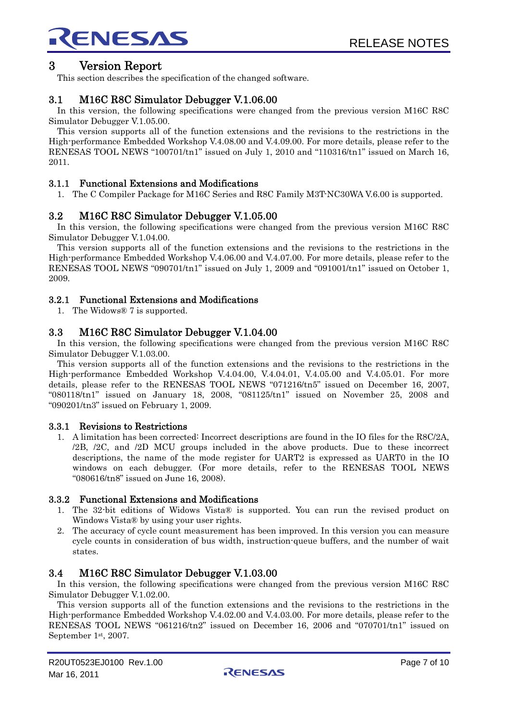<span id="page-6-0"></span>

# 3 Version Report

This section describes the specification of the changed software.

# 3.1 M16C R8C Simulator Debugger V.1.06.00

In this version, the following specifications were changed from the previous version M16C R8C Simulator Debugger V.1.05.00.

This version supports all of the function extensions and the revisions to the restrictions in the High-performance Embedded Workshop V.4.08.00 and V.4.09.00. For more details, please refer to the RENESAS TOOL NEWS "100701/tn1" issued on July 1, 2010 and "110316/tn1" issued on March 16, 2011.

#### 3.1.1 Functional Extensions and Modifications

1. The C Compiler Package for M16C Series and R8C Family M3T-NC30WA V.6.00 is supported.

#### 3.2 M16C R8C Simulator Debugger V.1.05.00

In this version, the following specifications were changed from the previous version M16C R8C Simulator Debugger V.1.04.00.

This version supports all of the function extensions and the revisions to the restrictions in the High-performance Embedded Workshop V.4.06.00 and V.4.07.00. For more details, please refer to the RENESAS TOOL NEWS "090701/tn1" issued on July 1, 2009 and "091001/tn1" issued on October 1, 2009.

#### 3.2.1 Functional Extensions and Modifications

1. The Widows® 7 is supported.

#### 3.3 M16C R8C Simulator Debugger V.1.04.00

In this version, the following specifications were changed from the previous version M16C R8C Simulator Debugger V.1.03.00.

This version supports all of the function extensions and the revisions to the restrictions in the High-performance Embedded Workshop V.4.04.00, V.4.04.01, V.4.05.00 and V.4.05.01. For more details, please refer to the RENESAS TOOL NEWS "071216/tn5" issued on December 16, 2007, "080118/tn1" issued on January 18, 2008, "081125/tn1" issued on November 25, 2008 and "090201/tn3" issued on February 1, 2009.

#### 3.3.1 Revisions to Restrictions

1. A limitation has been corrected: Incorrect descriptions are found in the IO files for the R8C/2A, /2B, /2C, and /2D MCU groups included in the above products. Due to these incorrect descriptions, the name of the mode register for UART2 is expressed as UART0 in the IO windows on each debugger. (For more details, refer to the RENESAS TOOL NEWS "080616/tn8" issued on June 16, 2008).

#### 3.3.2 Functional Extensions and Modifications

- 1. The 32-bit editions of Widows Vista® is supported. You can run the revised product on Windows Vista® by using your user rights.
- 2. The accuracy of cycle count measurement has been improved. In this version you can measure cycle counts in consideration of bus width, instruction-queue buffers, and the number of wait states.

#### 3.4 M16C R8C Simulator Debugger V.1.03.00

In this version, the following specifications were changed from the previous version M16C R8C Simulator Debugger V.1.02.00.

This version supports all of the function extensions and the revisions to the restrictions in the High-performance Embedded Workshop V.4.02.00 and V.4.03.00. For more details, please refer to the RENESAS TOOL NEWS "061216/tn2" issued on December 16, 2006 and "070701/tn1" issued on September 1st, 2007.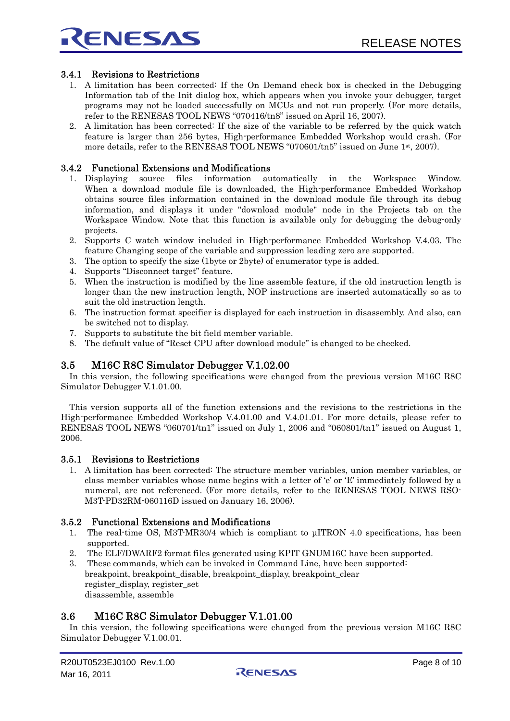<span id="page-7-0"></span>

#### 3.4.1 Revisions to Restrictions

- 1. A limitation has been corrected: If the On Demand check box is checked in the Debugging Information tab of the Init dialog box, which appears when you invoke your debugger, target programs may not be loaded successfully on MCUs and not run properly. (For more details, refer to the RENESAS TOOL NEWS "070416/tn8" issued on April 16, 2007).
- 2. A limitation has been corrected: If the size of the variable to be referred by the quick watch feature is larger than 256 bytes, High-performance Embedded Workshop would crash. (For more details, refer to the RENESAS TOOL NEWS "070601/tn5" issued on June 1st, 2007).

#### 3.4.2 Functional Extensions and Modifications

- 1. Displaying source files information automatically in the Workspace Window. When a download module file is downloaded, the High-performance Embedded Workshop obtains source files information contained in the download module file through its debug information, and displays it under "download module" node in the Projects tab on the Workspace Window. Note that this function is available only for debugging the debug-only projects.
- 2. Supports C watch window included in High-performance Embedded Workshop V.4.03. The feature Changing scope of the variable and suppression leading zero are supported.
- 3. The option to specify the size (1byte or 2byte) of enumerator type is added.
- 4. Supports "Disconnect target" feature.
- 5. When the instruction is modified by the line assemble feature, if the old instruction length is longer than the new instruction length, NOP instructions are inserted automatically so as to suit the old instruction length.
- 6. The instruction format specifier is displayed for each instruction in disassembly. And also, can be switched not to display.
- 7. Supports to substitute the bit field member variable.
- 8. The default value of "Reset CPU after download module" is changed to be checked.

#### 3.5 M16C R8C Simulator Debugger V.1.02.00

In this version, the following specifications were changed from the previous version M16C R8C Simulator Debugger V.1.01.00.

This version supports all of the function extensions and the revisions to the restrictions in the High-performance Embedded Workshop V.4.01.00 and V.4.01.01. For more details, please refer to RENESAS TOOL NEWS "060701/tn1" issued on July 1, 2006 and "060801/tn1" issued on August 1, 2006.

#### 3.5.1 Revisions to Restrictions

1. A limitation has been corrected: The structure member variables, union member variables, or class member variables whose name begins with a letter of 'e' or 'E' immediately followed by a numeral, are not referenced. (For more details, refer to the RENESAS TOOL NEWS RSO-M3T-PD32RM-060116D issued on January 16, 2006).

#### 3.5.2 Functional Extensions and Modifications

- 1. The real-time OS, M3T-MR30/4 which is compliant to μITRON 4.0 specifications, has been supported.
- 2. The ELF/DWARF2 format files generated using KPIT GNUM16C have been supported.
- 3. These commands, which can be invoked in Command Line, have been supported: breakpoint, breakpoint\_disable, breakpoint\_display, breakpoint\_clear register\_display, register\_set disassemble, assemble

#### 3.6 M16C R8C Simulator Debugger V.1.01.00

In this version, the following specifications were changed from the previous version M16C R8C Simulator Debugger V.1.00.01.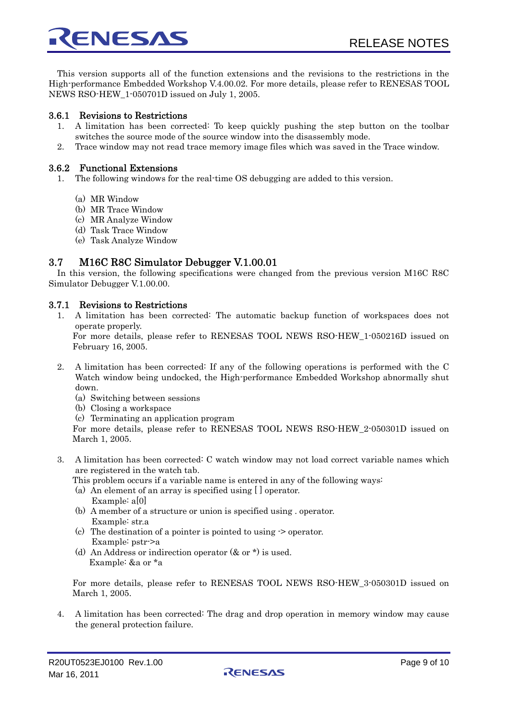<span id="page-8-0"></span>This version supports all of the function extensions and the revisions to the restrictions in the High-performance Embedded Workshop V.4.00.02. For more details, please refer to RENESAS TOOL NEWS RSO-HEW\_1-050701D issued on July 1, 2005.

#### 3.6.1 Revisions to Restrictions

- 1. A limitation has been corrected: To keep quickly pushing the step button on the toolbar switches the source mode of the source window into the disassembly mode.
- 2. Trace window may not read trace memory image files which was saved in the Trace window.

#### 3.6.2 Functional Extensions

- 1. The following windows for the real-time OS debugging are added to this version.
	- (a) MR Window
	- (b) MR Trace Window
	- (c) MR Analyze Window
	- (d) Task Trace Window
	- (e) Task Analyze Window

## 3.7 M16C R8C Simulator Debugger V.1.00.01

In this version, the following specifications were changed from the previous version M16C R8C Simulator Debugger V.1.00.00.

#### 3.7.1 Revisions to Restrictions

1. A limitation has been corrected: The automatic backup function of workspaces does not operate properly.

For more details, please refer to RENESAS TOOL NEWS RSO-HEW\_1-050216D issued on February 16, 2005.

- 2. A limitation has been corrected: If any of the following operations is performed with the C Watch window being undocked, the High-performance Embedded Workshop abnormally shut down.
	- (a) Switching between sessions
	- (b) Closing a workspace
	- (c) Terminating an application program

For more details, please refer to RENESAS TOOL NEWS RSO-HEW\_2-050301D issued on March 1, 2005.

- 3. A limitation has been corrected: C watch window may not load correct variable names which are registered in the watch tab.
	- This problem occurs if a variable name is entered in any of the following ways:
	- (a) An element of an array is specified using [ ] operator. Example: a[0]
	- (b) A member of a structure or union is specified using . operator. Example: str.a
	- (c) The destination of a pointer is pointed to using -> operator. Example: pstr->a
	- (d) An Address or indirection operator (& or \*) is used. Example: &a or \*a

For more details, please refer to RENESAS TOOL NEWS RSO-HEW\_3-050301D issued on March 1, 2005.

4. A limitation has been corrected: The drag and drop operation in memory window may cause the general protection failure.